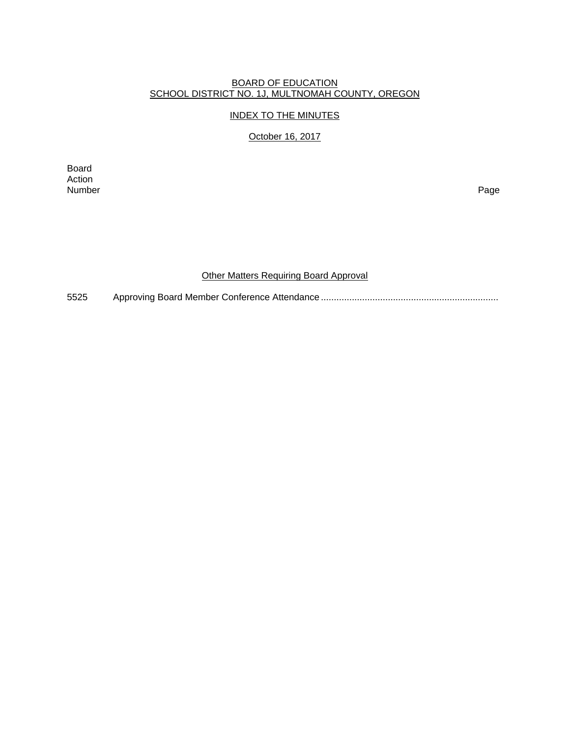#### BOARD OF EDUCATION SCHOOL DISTRICT NO. 1J, MULTNOMAH COUNTY, OREGON

### INDEX TO THE MINUTES

# October 16, 2017

Board Action<br>Number Number Page

### Other Matters Requiring Board Approval

5525 Approving Board Member Conference Attendance .....................................................................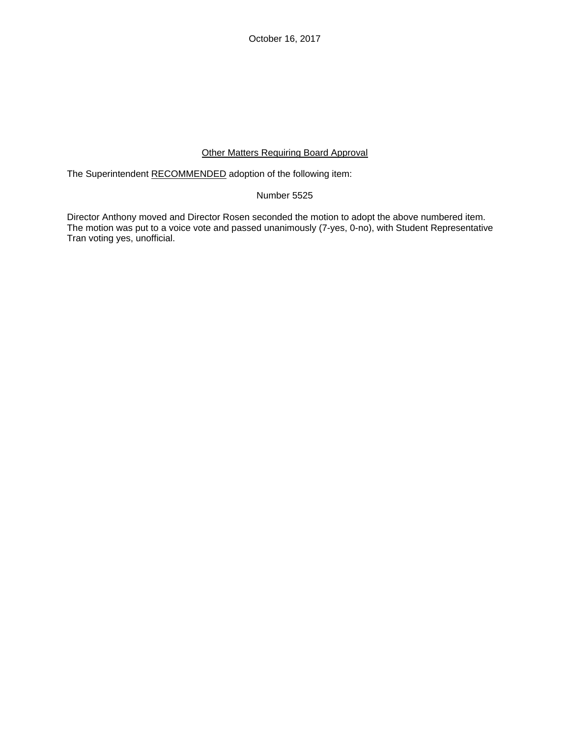October 16, 2017

## Other Matters Requiring Board Approval

The Superintendent RECOMMENDED adoption of the following item:

## Number 5525

Director Anthony moved and Director Rosen seconded the motion to adopt the above numbered item. The motion was put to a voice vote and passed unanimously (7-yes, 0-no), with Student Representative Tran voting yes, unofficial.